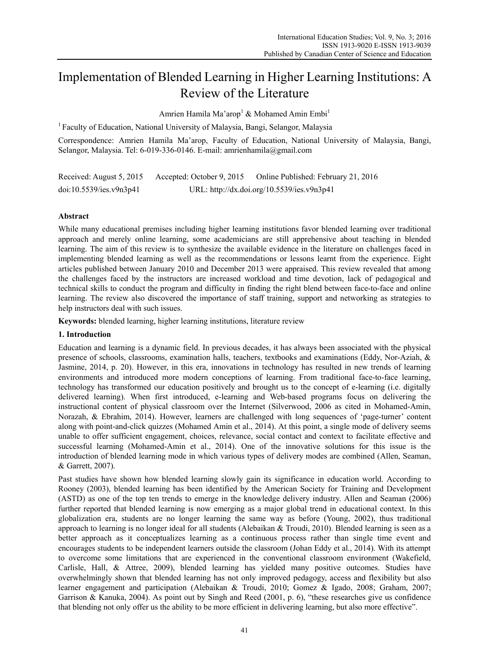# Implementation of Blended Learning in Higher Learning Institutions: A Review of the Literature

Amrien Hamila Ma'arop<sup>1</sup> & Mohamed Amin Embi<sup>1</sup>

<sup>1</sup> Faculty of Education, National University of Malaysia, Bangi, Selangor, Malaysia

Correspondence: Amrien Hamila Ma'arop, Faculty of Education, National University of Malaysia, Bangi, Selangor, Malaysia. Tel: 6-019-336-0146. E-mail: amrienhamila@gmail.com

Received: August 5, 2015 Accepted: October 9, 2015 Online Published: February 21, 2016 doi:10.5539/ies.v9n3p41 URL: http://dx.doi.org/10.5539/ies.v9n3p41

## **Abstract**

While many educational premises including higher learning institutions favor blended learning over traditional approach and merely online learning, some academicians are still apprehensive about teaching in blended learning. The aim of this review is to synthesize the available evidence in the literature on challenges faced in implementing blended learning as well as the recommendations or lessons learnt from the experience. Eight articles published between January 2010 and December 2013 were appraised. This review revealed that among the challenges faced by the instructors are increased workload and time devotion, lack of pedagogical and technical skills to conduct the program and difficulty in finding the right blend between face-to-face and online learning. The review also discovered the importance of staff training, support and networking as strategies to help instructors deal with such issues.

**Keywords:** blended learning, higher learning institutions, literature review

## **1. Introduction**

Education and learning is a dynamic field. In previous decades, it has always been associated with the physical presence of schools, classrooms, examination halls, teachers, textbooks and examinations (Eddy, Nor-Aziah, & Jasmine, 2014, p. 20). However, in this era, innovations in technology has resulted in new trends of learning environments and introduced more modern conceptions of learning. From traditional face-to-face learning, technology has transformed our education positively and brought us to the concept of e-learning (i.e. digitally delivered learning). When first introduced, e-learning and Web-based programs focus on delivering the instructional content of physical classroom over the Internet (Silverwood, 2006 as cited in Mohamed-Amin, Norazah, & Ebrahim, 2014). However, learners are challenged with long sequences of 'page-turner' content along with point-and-click quizzes (Mohamed Amin et al., 2014). At this point, a single mode of delivery seems unable to offer sufficient engagement, choices, relevance, social contact and context to facilitate effective and successful learning (Mohamed-Amin et al., 2014). One of the innovative solutions for this issue is the introduction of blended learning mode in which various types of delivery modes are combined (Allen, Seaman, & Garrett, 2007).

Past studies have shown how blended learning slowly gain its significance in education world. According to Rooney (2003), blended learning has been identified by the American Society for Training and Development (ASTD) as one of the top ten trends to emerge in the knowledge delivery industry. Allen and Seaman (2006) further reported that blended learning is now emerging as a major global trend in educational context. In this globalization era, students are no longer learning the same way as before (Young, 2002), thus traditional approach to learning is no longer ideal for all students (Alebaikan & Troudi, 2010). Blended learning is seen as a better approach as it conceptualizes learning as a continuous process rather than single time event and encourages students to be independent learners outside the classroom (Johan Eddy et al., 2014). With its attempt to overcome some limitations that are experienced in the conventional classroom environment (Wakefield, Carlisle, Hall, & Attree, 2009), blended learning has yielded many positive outcomes. Studies have overwhelmingly shown that blended learning has not only improved pedagogy, access and flexibility but also learner engagement and participation (Alebaikan & Troudi, 2010; Gomez & Igado, 2008; Graham, 2007; Garrison & Kanuka, 2004). As point out by Singh and Reed (2001, p. 6), "these researches give us confidence that blending not only offer us the ability to be more efficient in delivering learning, but also more effective".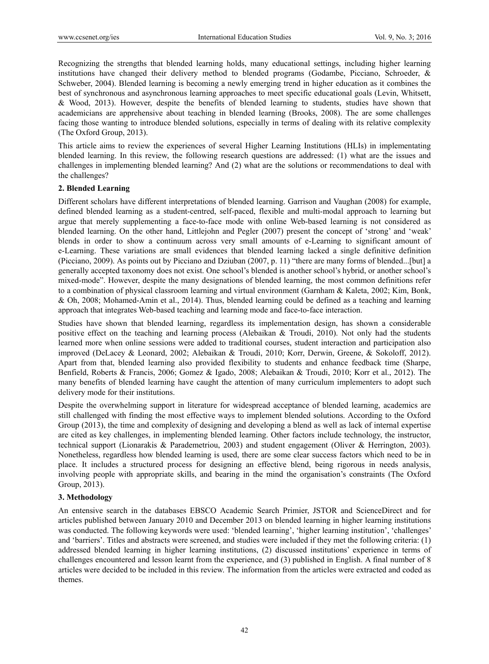Recognizing the strengths that blended learning holds, many educational settings, including higher learning institutions have changed their delivery method to blended programs (Godambe, Picciano, Schroeder, & Schweber, 2004). Blended learning is becoming a newly emerging trend in higher education as it combines the best of synchronous and asynchronous learning approaches to meet specific educational goals (Levin, Whitsett, & Wood, 2013). However, despite the benefits of blended learning to students, studies have shown that academicians are apprehensive about teaching in blended learning (Brooks, 2008). The are some challenges facing those wanting to introduce blended solutions, especially in terms of dealing with its relative complexity (The Oxford Group, 2013).

This article aims to review the experiences of several Higher Learning Institutions (HLIs) in implementating blended learning. In this review, the following research questions are addressed: (1) what are the issues and challenges in implementing blended learning? And (2) what are the solutions or recommendations to deal with the challenges?

#### **2. Blended Learning**

Different scholars have different interpretations of blended learning. Garrison and Vaughan (2008) for example, defined blended learning as a student-centred, self-paced, flexible and multi-modal approach to learning but argue that merely supplementing a face-to-face mode with online Web-based learning is not considered as blended learning. On the other hand, Littlejohn and Pegler (2007) present the concept of 'strong' and 'weak' blends in order to show a continuum across very small amounts of e-Learning to significant amount of e-Learning. These variations are small evidences that blended learning lacked a single definitive definition (Picciano, 2009). As points out by Picciano and Dziuban (2007, p. 11) "there are many forms of blended...[but] a generally accepted taxonomy does not exist. One school's blended is another school's hybrid, or another school's mixed-mode". However, despite the many designations of blended learning, the most common definitions refer to a combination of physical classroom learning and virtual environment (Garnham & Kaleta, 2002; Kim, Bonk, & Oh, 2008; Mohamed-Amin et al., 2014). Thus, blended learning could be defined as a teaching and learning approach that integrates Web-based teaching and learning mode and face-to-face interaction.

Studies have shown that blended learning, regardless its implementation design, has shown a considerable positive effect on the teaching and learning process (Alebaikan & Troudi, 2010). Not only had the students learned more when online sessions were added to traditional courses, student interaction and participation also improved (DeLacey & Leonard, 2002; Alebaikan & Troudi, 2010; Korr, Derwin, Greene, & Sokoloff, 2012). Apart from that, blended learning also provided flexibility to students and enhance feedback time (Sharpe, Benfield, Roberts & Francis, 2006; Gomez & Igado, 2008; Alebaikan & Troudi, 2010; Korr et al., 2012). The many benefits of blended learning have caught the attention of many curriculum implementers to adopt such delivery mode for their institutions.

Despite the overwhelming support in literature for widespread acceptance of blended learning, academics are still challenged with finding the most effective ways to implement blended solutions. According to the Oxford Group (2013), the time and complexity of designing and developing a blend as well as lack of internal expertise are cited as key challenges, in implementing blended learning. Other factors include technology, the instructor, technical support (Lionarakis & Parademetriou, 2003) and student engagement (Oliver & Herrington, 2003). Nonetheless, regardless how blended learning is used, there are some clear success factors which need to be in place. It includes a structured process for designing an effective blend, being rigorous in needs analysis, involving people with appropriate skills, and bearing in the mind the organisation's constraints (The Oxford Group, 2013).

#### **3. Methodology**

An entensive search in the databases EBSCO Academic Search Primier, JSTOR and ScienceDirect and for articles published between January 2010 and December 2013 on blended learning in higher learning institutions was conducted. The following keywords were used: 'blended learning', 'higher learning institution', 'challenges' and 'barriers'. Titles and abstracts were screened, and studies were included if they met the following criteria: (1) addressed blended learning in higher learning institutions, (2) discussed institutions' experience in terms of challenges encountered and lesson learnt from the experience, and (3) published in English. A final number of 8 articles were decided to be included in this review. The information from the articles were extracted and coded as themes.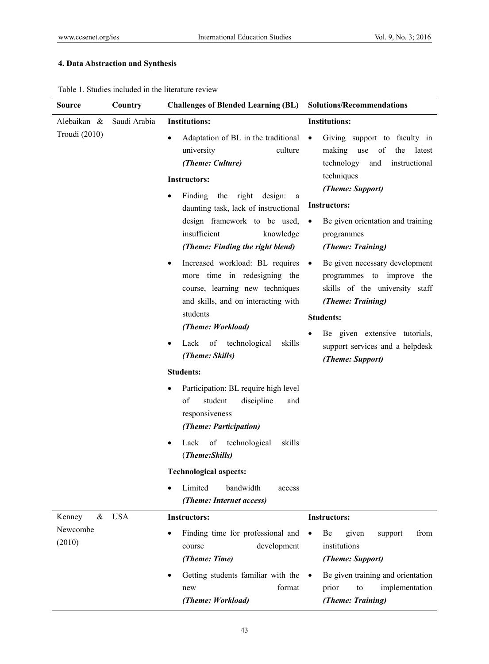# **4. Data Abstraction and Synthesis**

|  |  | Table 1. Studies included in the literature review |  |
|--|--|----------------------------------------------------|--|
|  |  |                                                    |  |

| Source                       | Country      | <b>Challenges of Blended Learning (BL)</b>                                                                                                                                                                                                                                                                                                                                                                                                                                                                                                                                                                                                        | <b>Solutions/Recommendations</b>                                                                                                                                                                                                                                                                                                                                                                                                                                                                                                          |
|------------------------------|--------------|---------------------------------------------------------------------------------------------------------------------------------------------------------------------------------------------------------------------------------------------------------------------------------------------------------------------------------------------------------------------------------------------------------------------------------------------------------------------------------------------------------------------------------------------------------------------------------------------------------------------------------------------------|-------------------------------------------------------------------------------------------------------------------------------------------------------------------------------------------------------------------------------------------------------------------------------------------------------------------------------------------------------------------------------------------------------------------------------------------------------------------------------------------------------------------------------------------|
| Alebaikan &<br>Troudi (2010) | Saudi Arabia | <b>Institutions:</b><br>Adaptation of BL in the traditional<br>$\bullet$<br>university<br>culture<br>(Theme: Culture)<br><b>Instructors:</b><br>Finding the right design:<br>$\bullet$<br>a<br>daunting task, lack of instructional<br>design framework to be used,<br>insufficient<br>knowledge<br>(Theme: Finding the right blend)<br>Increased workload: BL requires<br>٠<br>more time in redesigning the<br>course, learning new techniques<br>and skills, and on interacting with<br>students<br>(Theme: Workload)<br>of technological<br>skills<br>Lack<br>٠<br>(Theme: Skills)<br><b>Students:</b><br>Participation: BL require high level | <b>Institutions:</b><br>Giving support to faculty in<br>$\bullet$<br>making use<br>of<br>the<br>latest<br>technology<br>and<br>instructional<br>techniques<br>(Theme: Support)<br><b>Instructors:</b><br>Be given orientation and training<br>$\bullet$<br>programmes<br>(Theme: Training)<br>Be given necessary development<br>$\bullet$<br>programmes to improve the<br>skills of the university staff<br>(Theme: Training)<br><b>Students:</b><br>Be given extensive tutorials,<br>support services and a helpdesk<br>(Theme: Support) |
|                              |              | of<br>student<br>discipline<br>and<br>responsiveness<br>(Theme: Participation)<br>of technological<br>skills<br>Lack<br>(Theme:Skills)<br><b>Technological aspects:</b><br>Limited<br>bandwidth<br>access                                                                                                                                                                                                                                                                                                                                                                                                                                         |                                                                                                                                                                                                                                                                                                                                                                                                                                                                                                                                           |
| Kenney<br>Newcombe<br>(2010) | & USA        | (Theme: Internet access)<br><b>Instructors:</b><br>Finding time for professional and<br>development<br>course<br>(Theme: Time)<br>Getting students familiar with the<br>format<br>new<br>(Theme: Workload)                                                                                                                                                                                                                                                                                                                                                                                                                                        | <b>Instructors:</b><br>Be<br>given<br>from<br>support<br>institutions<br>(Theme: Support)<br>Be given training and orientation<br>$\bullet$<br>implementation<br>prior<br>to<br>(Theme: Training)                                                                                                                                                                                                                                                                                                                                         |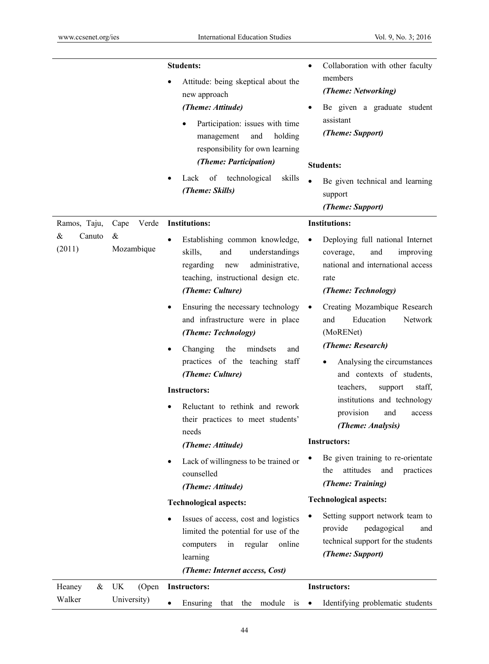|                       |                 | <b>Students:</b>                                                                                                                                                                                                                                                     | Collaboration with other faculty                                                                                                                                 |
|-----------------------|-----------------|----------------------------------------------------------------------------------------------------------------------------------------------------------------------------------------------------------------------------------------------------------------------|------------------------------------------------------------------------------------------------------------------------------------------------------------------|
|                       |                 | Attitude: being skeptical about the<br>new approach<br>(Theme: Attitude)<br>Participation: issues with time<br>and<br>holding<br>management<br>responsibility for own learning<br>(Theme: Participation)<br>skills<br>Lack<br>of<br>technological<br>(Theme: Skills) | members<br>(Theme: Networking)<br>Be given a graduate student<br>assistant<br>(Theme: Support)<br><b>Students:</b><br>Be given technical and learning<br>support |
|                       |                 |                                                                                                                                                                                                                                                                      | (Theme: Support)                                                                                                                                                 |
| Ramos, Taju,          | Verde<br>Cape   | <b>Institutions:</b>                                                                                                                                                                                                                                                 | <b>Institutions:</b>                                                                                                                                             |
| &<br>Canuto<br>(2011) | &<br>Mozambique | Establishing common knowledge,<br>skills,<br>and<br>understandings<br>administrative,<br>regarding<br>new<br>teaching, instructional design etc.<br>(Theme: Culture)                                                                                                 | Deploying full national Internet<br>$\bullet$<br>and<br>coverage,<br>improving<br>national and international access<br>rate<br>(Theme: Technology)               |
|                       |                 | Ensuring the necessary technology<br>and infrastructure were in place<br>(Theme: Technology)                                                                                                                                                                         | Creating Mozambique Research<br>Education<br>and<br>Network<br>(MoRENet)                                                                                         |
|                       |                 | Changing<br>the<br>mindsets<br>and<br>practices of the teaching staff<br>(Theme: Culture)                                                                                                                                                                            | (Theme: Research)<br>Analysing the circumstances<br>and contexts of students,                                                                                    |
|                       |                 | <b>Instructors:</b><br>Reluctant to rethink and rework<br>their practices to meet students'<br>needs                                                                                                                                                                 | teachers,<br>support<br>staff,<br>institutions and technology<br>provision<br>and<br>access<br>(Theme: Analysis)<br><b>Instructors:</b>                          |
|                       |                 | (Theme: Attitude)<br>Lack of willingness to be trained or<br>counselled<br>(Theme: Attitude)                                                                                                                                                                         | Be given training to re-orientate<br>attitudes<br>the<br>practices<br>and<br>(Theme: Training)                                                                   |
|                       |                 | <b>Technological aspects:</b>                                                                                                                                                                                                                                        | <b>Technological aspects:</b>                                                                                                                                    |
|                       |                 | Issues of access, cost and logistics<br>limited the potential for use of the<br>regular<br>online<br>computers<br>in<br>learning<br>(Theme: Internet access, Cost)                                                                                                   | Setting support network team to<br>٠<br>provide<br>pedagogical<br>and<br>technical support for the students<br>(Theme: Support)                                  |
| Heaney<br>&           | UK<br>(Open     | <b>Instructors:</b>                                                                                                                                                                                                                                                  | <b>Instructors:</b>                                                                                                                                              |
| Walker                | University)     | Ensuring<br>that the module is                                                                                                                                                                                                                                       | Identifying problematic students<br>$\bullet$                                                                                                                    |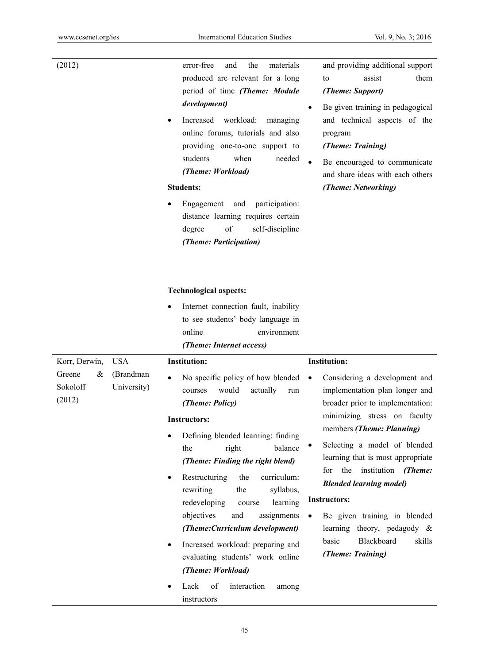| (2012)    | the<br>error-free<br>and<br>materials |           | and providing addition |
|-----------|---------------------------------------|-----------|------------------------|
|           | produced are relevant for a long      |           | assist<br>to           |
|           | period of time (Theme: Module         |           | (Theme: Support)       |
|           | development)                          | $\bullet$ | Be given training in p |
| $\bullet$ | workload:<br>Increased<br>managing    |           | and technical aspect   |
|           | online forums, tutorials and also     |           | program                |
|           | providing one-to-one support to       |           | (Theme: Training)      |
|           | students<br>when<br>needed            | $\bullet$ | Be encouraged to con   |
|           | (Theme: Workload)                     |           | and share ideas with e |
|           | <b>Students:</b>                      |           | (Theme: Networking)    |
| $\bullet$ | Engagement and participation:         |           |                        |
|           | distance learning requires certain    |           |                        |
|           | of<br>self-discipline<br>degree       |           |                        |

# *(Theme: Participation)*

## **Technological aspects:**

• Internet connection fault, inability to see students' body language in online environment

- nal support them
- edagogical ts of the
- mmunicate each others

|                                   |                          | (Theme: Internet access)                                                                                                                                                                                                                                                      |                                                                                                                                                                                                                 |
|-----------------------------------|--------------------------|-------------------------------------------------------------------------------------------------------------------------------------------------------------------------------------------------------------------------------------------------------------------------------|-----------------------------------------------------------------------------------------------------------------------------------------------------------------------------------------------------------------|
| Korr, Derwin,                     | <b>USA</b>               | <b>Institution:</b>                                                                                                                                                                                                                                                           | <b>Institution:</b>                                                                                                                                                                                             |
| Greene<br>&<br>Sokoloff<br>(2012) | (Brandman<br>University) | No specific policy of how blended<br>$\bullet$<br>actually<br>would<br>courses<br>run<br>(Theme: Policy)                                                                                                                                                                      | Considering a development and<br>$\bullet$<br>implementation plan longer and<br>broader prior to implementation:<br>minimizing stress on faculty                                                                |
|                                   |                          | <b>Instructors:</b>                                                                                                                                                                                                                                                           | members (Theme: Planning)                                                                                                                                                                                       |
|                                   |                          | Defining blended learning: finding<br>$\bullet$<br>the<br>balance<br>right<br>(Theme: Finding the right blend)<br>curriculum:<br>Restructuring<br>the<br>$\bullet$<br>rewriting<br>syllabus,<br>the<br>learning<br>redeveloping<br>course<br>objectives<br>assignments<br>and | Selecting a model of blended<br>learning that is most appropriate<br>for<br>the<br>institution<br>(Theme:<br><b>Blended learning model)</b><br><b>Instructors:</b><br>Be given training in blended<br>$\bullet$ |
|                                   |                          | (Theme: Curriculum development)                                                                                                                                                                                                                                               | learning theory, pedagody $\&$<br><b>Blackboard</b><br>basic<br>skills                                                                                                                                          |
|                                   |                          | Increased workload: preparing and<br>$\bullet$<br>evaluating students' work online                                                                                                                                                                                            | (Theme: Training)                                                                                                                                                                                               |
|                                   |                          | (Theme: Workload)                                                                                                                                                                                                                                                             |                                                                                                                                                                                                                 |
|                                   |                          | Lack<br>of<br>interaction<br>among<br>$\bullet$<br>instructors                                                                                                                                                                                                                |                                                                                                                                                                                                                 |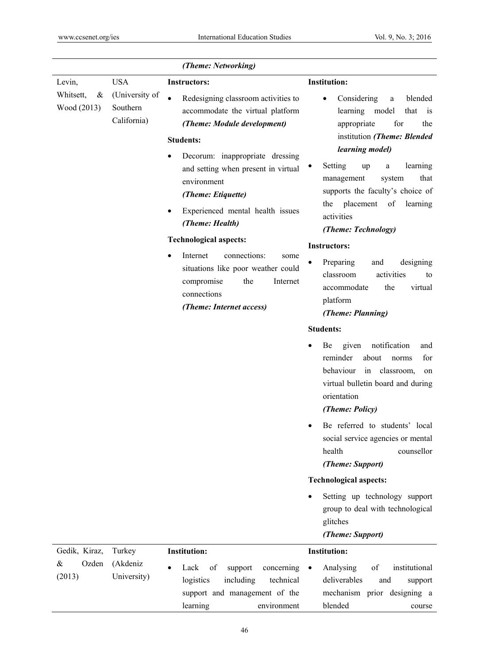|                                         |                                                         | (Theme: Networking)                                                                                                                                                                                                                                                                                                                                                                                                                                                                                                         |                                                                                                                                                                                                                                                                                                                                                                                                                                                                                                                                                                                                                                                                                                                                                                          |
|-----------------------------------------|---------------------------------------------------------|-----------------------------------------------------------------------------------------------------------------------------------------------------------------------------------------------------------------------------------------------------------------------------------------------------------------------------------------------------------------------------------------------------------------------------------------------------------------------------------------------------------------------------|--------------------------------------------------------------------------------------------------------------------------------------------------------------------------------------------------------------------------------------------------------------------------------------------------------------------------------------------------------------------------------------------------------------------------------------------------------------------------------------------------------------------------------------------------------------------------------------------------------------------------------------------------------------------------------------------------------------------------------------------------------------------------|
| Levin,<br>Whitsett,<br>&<br>Wood (2013) | <b>USA</b><br>(University of<br>Southern<br>California) | <b>Instructors:</b><br>Redesigning classroom activities to<br>accommodate the virtual platform<br>(Theme: Module development)<br><b>Students:</b><br>Decorum: inappropriate dressing<br>and setting when present in virtual<br>environment<br>(Theme: Etiquette)<br>Experienced mental health issues<br>$\bullet$<br>(Theme: Health)<br><b>Technological aspects:</b><br>Internet<br>connections:<br>some<br>situations like poor weather could<br>compromise<br>the<br>Internet<br>connections<br>(Theme: Internet access) | <b>Institution:</b><br>Considering<br>blended<br>$\rm{a}$<br>٠<br>learning<br>model<br>that<br>1S<br>for<br>appropriate<br>the<br>institution (Theme: Blended<br>learning model)<br>Setting<br>learning<br>up<br>a<br>that<br>management<br>system<br>supports the faculty's choice of<br>placement<br>of<br>learning<br>the<br>activities<br>(Theme: Technology)<br><b>Instructors:</b><br>designing<br>Preparing<br>and<br>classroom<br>activities<br>to<br>accommodate<br>the<br>virtual<br>platform<br>(Theme: Planning)<br><b>Students:</b><br>notification<br>given<br>Be<br>and<br>reminder<br>about<br>for<br>norms<br>behaviour<br>in classroom,<br>on<br>virtual bulletin board and during<br>orientation<br>(Theme: Policy)<br>Be referred to students' local |
|                                         |                                                         |                                                                                                                                                                                                                                                                                                                                                                                                                                                                                                                             | social service agencies or mental<br>health<br>counsellor<br>(Theme: Support)                                                                                                                                                                                                                                                                                                                                                                                                                                                                                                                                                                                                                                                                                            |
|                                         |                                                         |                                                                                                                                                                                                                                                                                                                                                                                                                                                                                                                             | <b>Technological aspects:</b>                                                                                                                                                                                                                                                                                                                                                                                                                                                                                                                                                                                                                                                                                                                                            |
|                                         |                                                         |                                                                                                                                                                                                                                                                                                                                                                                                                                                                                                                             | Setting up technology support<br>group to deal with technological<br>glitches<br>(Theme: Support)                                                                                                                                                                                                                                                                                                                                                                                                                                                                                                                                                                                                                                                                        |
| Gedik, Kiraz,                           | Turkey                                                  | <b>Institution:</b>                                                                                                                                                                                                                                                                                                                                                                                                                                                                                                         | <b>Institution:</b>                                                                                                                                                                                                                                                                                                                                                                                                                                                                                                                                                                                                                                                                                                                                                      |
| Ozden<br>&<br>(2013)                    | (Akdeniz<br>University)                                 | concerning<br>Lack<br>of<br>support<br>logistics<br>including<br>technical<br>support and management of the<br>learning<br>environment                                                                                                                                                                                                                                                                                                                                                                                      | institutional<br>Analysing<br>of<br>$\bullet$<br>deliverables<br>and<br>support<br>mechanism prior designing a<br>blended<br>course                                                                                                                                                                                                                                                                                                                                                                                                                                                                                                                                                                                                                                      |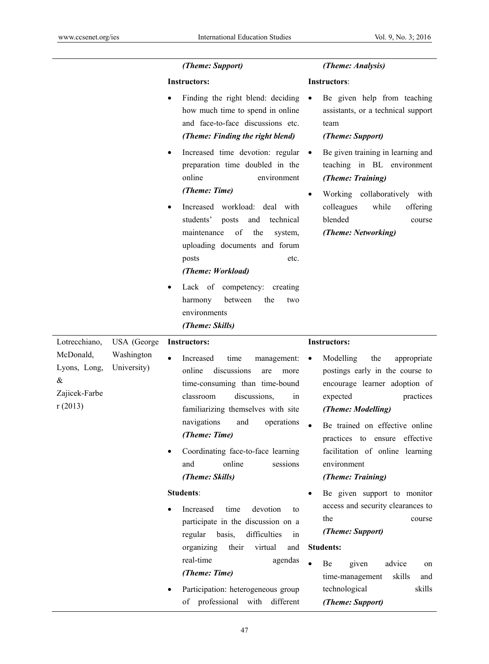|                                                                                            | (Theme: Support)                                                                                                                                                                                                                                                                                                               | (Theme: Analysis)                                                                                                                                                                                                                                                                                            |
|--------------------------------------------------------------------------------------------|--------------------------------------------------------------------------------------------------------------------------------------------------------------------------------------------------------------------------------------------------------------------------------------------------------------------------------|--------------------------------------------------------------------------------------------------------------------------------------------------------------------------------------------------------------------------------------------------------------------------------------------------------------|
|                                                                                            | <b>Instructors:</b>                                                                                                                                                                                                                                                                                                            | Instructors:                                                                                                                                                                                                                                                                                                 |
|                                                                                            | Finding the right blend: deciding<br>how much time to spend in online<br>and face-to-face discussions etc.<br>(Theme: Finding the right blend)                                                                                                                                                                                 | Be given help from teaching<br>$\bullet$<br>assistants, or a technical support<br>team<br>(Theme: Support)                                                                                                                                                                                                   |
|                                                                                            | Increased time devotion: regular<br>٠<br>preparation time doubled in the<br>online<br>environment<br>(Theme: Time)                                                                                                                                                                                                             | Be given training in learning and<br>$\bullet$<br>teaching in BL environment<br>(Theme: Training)<br>Working collaboratively with                                                                                                                                                                            |
|                                                                                            | Increased workload: deal with<br>٠<br>students'<br>technical<br>posts<br>and<br>of<br>maintenance<br>the<br>system,<br>uploading documents and forum<br>etc.<br>posts<br>(Theme: Workload)                                                                                                                                     | colleagues<br>while<br>offering<br>blended<br>course<br>(Theme: Networking)                                                                                                                                                                                                                                  |
|                                                                                            | Lack of competency: creating<br>٠<br>between<br>harmony<br>the<br>two<br>environments<br>(Theme: Skills)                                                                                                                                                                                                                       |                                                                                                                                                                                                                                                                                                              |
| Lotrecchiano,<br>USA (George                                                               | <b>Instructors:</b>                                                                                                                                                                                                                                                                                                            | <b>Instructors:</b>                                                                                                                                                                                                                                                                                          |
| Washington<br>McDonald,<br>University)<br>Lyons, Long,<br>$\&$<br>Zajicek-Farbe<br>r(2013) | time<br>Increased<br>management:<br>online<br>discussions<br>are<br>more<br>time-consuming than time-bound<br>discussions,<br>classroom<br>in<br>familiarizing themselves with site<br>navigations<br>operations<br>and<br>(Theme: Time)<br>Coordinating face-to-face learning<br>online<br>sessions<br>and<br>(Theme: Skills) | the<br>Modelling<br>appropriate<br>$\bullet$<br>postings early in the course to<br>encourage learner adoption of<br>practices<br>expected<br>(Theme: Modelling)<br>Be trained on effective online<br>effective<br>practices to ensure<br>facilitation of online learning<br>environment<br>(Theme: Training) |
|                                                                                            | <b>Students:</b>                                                                                                                                                                                                                                                                                                               | Be given support to monitor                                                                                                                                                                                                                                                                                  |
|                                                                                            | Increased<br>time<br>devotion<br>to<br>participate in the discussion on a<br>difficulties<br>regular<br>basis,<br>in                                                                                                                                                                                                           | access and security clearances to<br>the<br>course<br>(Theme: Support)                                                                                                                                                                                                                                       |
|                                                                                            | organizing<br>virtual<br>their<br>and                                                                                                                                                                                                                                                                                          | <b>Students:</b>                                                                                                                                                                                                                                                                                             |
|                                                                                            | real-time<br>agendas<br>(Theme: Time)                                                                                                                                                                                                                                                                                          | Be<br>advice<br>given<br>on                                                                                                                                                                                                                                                                                  |
|                                                                                            | Participation: heterogeneous group<br>professional<br>with<br>different<br>οf                                                                                                                                                                                                                                                  | time-management<br>skills<br>and<br>technological<br>skills<br>(Theme: Support)                                                                                                                                                                                                                              |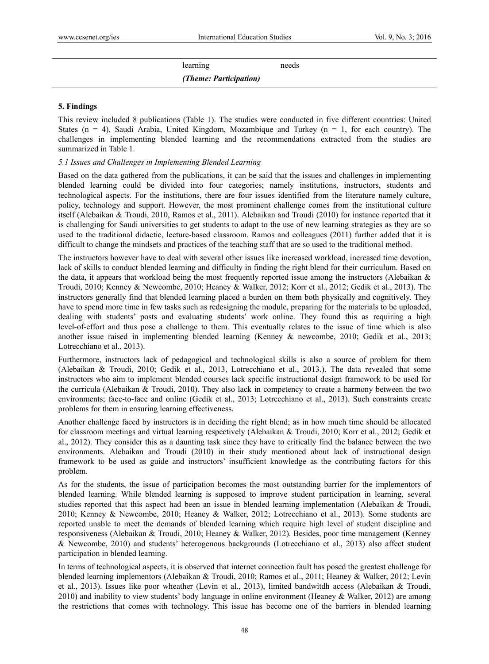| needs<br>learning | (Theme: Participation) |  |
|-------------------|------------------------|--|
|                   |                        |  |

#### **5. Findings**

This review included 8 publications (Table 1). The studies were conducted in five different countries: United States ( $n = 4$ ), Saudi Arabia, United Kingdom, Mozambique and Turkey ( $n = 1$ , for each country). The challenges in implementing blended learning and the recommendations extracted from the studies are summarized in Table 1.

#### *5.1 Issues and Challenges in Implementing Blended Learning*

Based on the data gathered from the publications, it can be said that the issues and challenges in implementing blended learning could be divided into four categories; namely institutions, instructors, students and technological aspects. For the institutions, there are four issues identified from the literature namely culture, policy, technology and support. However, the most prominent challenge comes from the institutional culture itself (Alebaikan & Troudi, 2010, Ramos et al., 2011). Alebaikan and Troudi (2010) for instance reported that it is challenging for Saudi universities to get students to adapt to the use of new learning strategies as they are so used to the traditional didactic, lecture-based classroom. Ramos and colleagues (2011) further added that it is difficult to change the mindsets and practices of the teaching staff that are so used to the traditional method.

The instructors however have to deal with several other issues like increased workload, increased time devotion, lack of skills to conduct blended learning and difficulty in finding the right blend for their curriculum. Based on the data, it appears that workload being the most frequently reported issue among the instructors (Alebaikan & Troudi, 2010; Kenney & Newcombe, 2010; Heaney & Walker, 2012; Korr et al., 2012; Gedik et al., 2013). The instructors generally find that blended learning placed a burden on them both physically and cognitively. They have to spend more time in few tasks such as redesigning the module, preparing for the materials to be uploaded, dealing with students' posts and evaluating students' work online. They found this as requiring a high level-of-effort and thus pose a challenge to them. This eventually relates to the issue of time which is also another issue raised in implementing blended learning (Kenney & newcombe, 2010; Gedik et al., 2013; Lotrecchiano et al., 2013).

Furthermore, instructors lack of pedagogical and technological skills is also a source of problem for them (Alebaikan & Troudi, 2010; Gedik et al., 2013, Lotrecchiano et al., 2013.). The data revealed that some instructors who aim to implement blended courses lack specific instructional design framework to be used for the curricula (Alebaikan & Troudi, 2010). They also lack in competency to create a harmony between the two environments; face-to-face and online (Gedik et al., 2013; Lotrecchiano et al., 2013). Such constraints create problems for them in ensuring learning effectiveness.

Another challenge faced by instructors is in deciding the right blend; as in how much time should be allocated for classroom meetings and virtual learning respectively (Alebaikan & Troudi, 2010; Korr et al., 2012; Gedik et al., 2012). They consider this as a daunting task since they have to critically find the balance between the two environments. Alebaikan and Troudi (2010) in their study mentioned about lack of instructional design framework to be used as guide and instructors' insufficient knowledge as the contributing factors for this problem.

As for the students, the issue of participation becomes the most outstanding barrier for the implementors of blended learning. While blended learning is supposed to improve student participation in learning, several studies reported that this aspect had been an issue in blended learning implementation (Alebaikan & Troudi, 2010; Kenney & Newcombe, 2010; Heaney & Walker, 2012; Lotrecchiano et al., 2013). Some students are reported unable to meet the demands of blended learning which require high level of student discipline and responsiveness (Alebaikan & Troudi, 2010; Heaney & Walker, 2012). Besides, poor time management (Kenney & Newcombe, 2010) and students' heterogenous backgrounds (Lotrecchiano et al., 2013) also affect student participation in blended learning.

In terms of technological aspects, it is observed that internet connection fault has posed the greatest challenge for blended learning implementors (Alebaikan & Troudi, 2010; Ramos et al., 2011; Heaney & Walker, 2012; Levin et al., 2013). Issues like poor wheather (Levin et al., 2013), limited bandwitdh access (Alebaikan & Troudi, 2010) and inability to view students' body language in online environment (Heaney & Walker, 2012) are among the restrictions that comes with technology. This issue has become one of the barriers in blended learning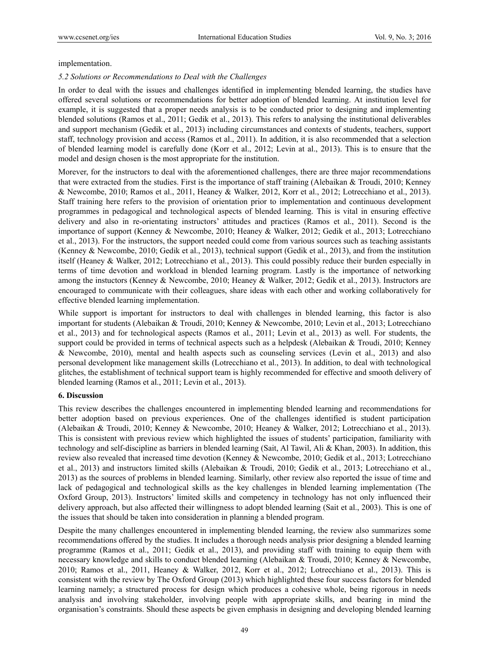#### implementation.

#### *5.2 Solutions or Recommendations to Deal with the Challenges*

In order to deal with the issues and challenges identified in implementing blended learning, the studies have offered several solutions or recommendations for better adoption of blended learning. At institution level for example, it is suggested that a proper needs analysis is to be conducted prior to designing and implementing blended solutions (Ramos et al., 2011; Gedik et al., 2013). This refers to analysing the institutional deliverables and support mechanism (Gedik et al., 2013) including circumstances and contexts of students, teachers, support staff, technology provision and access (Ramos et al., 2011). In addition, it is also recommended that a selection of blended learning model is carefully done (Korr et al., 2012; Levin at al., 2013). This is to ensure that the model and design chosen is the most appropriate for the institution.

Morever, for the instructors to deal with the aforementioned challenges, there are three major recommendations that were extracted from the studies. First is the importance of staff training (Alebaikan & Troudi, 2010; Kenney & Newcombe, 2010; Ramos et al., 2011, Heaney & Walker, 2012, Korr et al., 2012; Lotrecchiano et al., 2013). Staff training here refers to the provision of orientation prior to implementation and continuous development programmes in pedagogical and technological aspects of blended learning. This is vital in ensuring effective delivery and also in re-orientating instructors' attitudes and practices (Ramos et al., 2011). Second is the importance of support (Kenney & Newcombe, 2010; Heaney & Walker, 2012; Gedik et al., 2013; Lotrecchiano et al., 2013). For the instructors, the support needed could come from various sources such as teaching assistants (Kenney & Newcombe, 2010; Gedik et al., 2013), technical support (Gedik et al., 2013), and from the institution itself (Heaney & Walker, 2012; Lotrecchiano et al., 2013). This could possibly reduce their burden especially in terms of time devotion and workload in blended learning program. Lastly is the importance of networking among the instuctors (Kenney & Newcombe, 2010; Heaney & Walker, 2012; Gedik et al., 2013). Instructors are encouraged to communicate with their colleagues, share ideas with each other and working collaboratively for effective blended learning implementation.

While support is important for instructors to deal with challenges in blended learning, this factor is also important for students (Alebaikan & Troudi, 2010; Kenney & Newcombe, 2010; Levin et al., 2013; Lotrecchiano et al., 2013) and for technological aspects (Ramos et al., 2011; Levin et al., 2013) as well. For students, the support could be provided in terms of technical aspects such as a helpdesk (Alebaikan & Troudi, 2010; Kenney & Newcombe, 2010), mental and health aspects such as counseling services (Levin et al., 2013) and also personal development like management skills (Lotrecchiano et al., 2013). In addition, to deal with technological glitches, the establishment of technical support team is highly recommended for effective and smooth delivery of blended learning (Ramos et al., 2011; Levin et al., 2013).

#### **6. Discussion**

This review describes the challenges encountered in implementing blended learning and recommendations for better adoption based on previous experiences. One of the challenges identified is student participation (Alebaikan & Troudi, 2010; Kenney & Newcombe, 2010; Heaney & Walker, 2012; Lotrecchiano et al., 2013). This is consistent with previous review which highlighted the issues of students' participation, familiarity with technology and self-discipline as barriers in blended learning (Sait, Al Tawil, Ali & Khan, 2003). In addition, this review also revealed that increased time devotion (Kenney & Newcombe, 2010; Gedik et al., 2013; Lotrecchiano et al., 2013) and instructors limited skills (Alebaikan & Troudi, 2010; Gedik et al., 2013; Lotrecchiano et al., 2013) as the sources of problems in blended learning. Similarly, other review also reported the issue of time and lack of pedagogical and technological skills as the key challenges in blended learning implementation (The Oxford Group, 2013). Instructors' limited skills and competency in technology has not only influenced their delivery approach, but also affected their willingness to adopt blended learning (Sait et al., 2003). This is one of the issues that should be taken into consideration in planning a blended program.

Despite the many challenges encountered in implementing blended learning, the review also summarizes some recommendations offered by the studies. It includes a thorough needs analysis prior designing a blended learning programme (Ramos et al., 2011; Gedik et al., 2013), and providing staff with training to equip them with necessary knowledge and skills to conduct blended learning (Alebaikan & Troudi, 2010; Kenney & Newcombe, 2010; Ramos et al., 2011, Heaney & Walker, 2012, Korr et al., 2012; Lotrecchiano et al., 2013). This is consistent with the review by The Oxford Group (2013) which highlighted these four success factors for blended learning namely; a structured process for design which produces a cohesive whole, being rigorous in needs analysis and involving stakeholder, involving people with appropriate skills, and bearing in mind the organisation's constraints. Should these aspects be given emphasis in designing and developing blended learning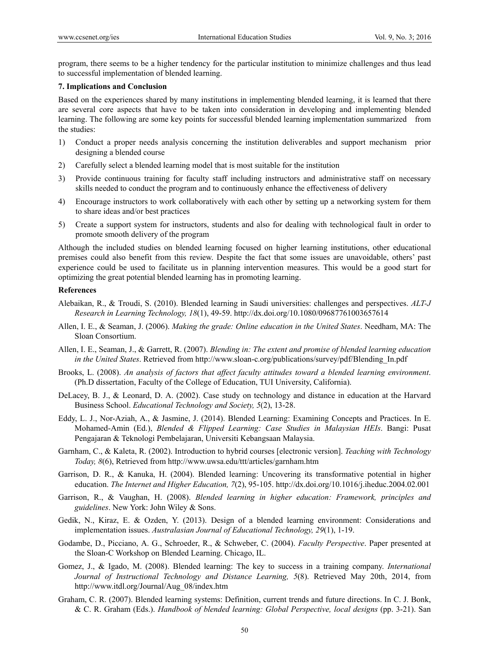program, there seems to be a higher tendency for the particular institution to minimize challenges and thus lead to successful implementation of blended learning.

#### **7. Implications and Conclusion**

Based on the experiences shared by many institutions in implementing blended learning, it is learned that there are several core aspects that have to be taken into consideration in developing and implementing blended learning. The following are some key points for successful blended learning implementation summarized from the studies:

- 1) Conduct a proper needs analysis concerning the institution deliverables and support mechanism prior designing a blended course
- 2) Carefully select a blended learning model that is most suitable for the institution
- 3) Provide continuous training for faculty staff including instructors and administrative staff on necessary skills needed to conduct the program and to continuously enhance the effectiveness of delivery
- 4) Encourage instructors to work collaboratively with each other by setting up a networking system for them to share ideas and/or best practices
- 5) Create a support system for instructors, students and also for dealing with technological fault in order to promote smooth delivery of the program

Although the included studies on blended learning focused on higher learning institutions, other educational premises could also benefit from this review. Despite the fact that some issues are unavoidable, others' past experience could be used to facilitate us in planning intervention measures. This would be a good start for optimizing the great potential blended learning has in promoting learning.

#### **References**

- Alebaikan, R., & Troudi, S. (2010). Blended learning in Saudi universities: challenges and perspectives. *ALT-J Research in Learning Technology, 18*(1), 49-59. http://dx.doi.org/10.1080/09687761003657614
- Allen, I. E., & Seaman, J. (2006). *Making the grade: Online education in the United States*. Needham, MA: The Sloan Consortium.
- Allen, I. E., Seaman, J., & Garrett, R. (2007). *Blending in: The extent and promise of blended learning education in the United States*. Retrieved from http://www.sloan-c.org/publications/survey/pdf/Blending\_In.pdf
- Brooks, L. (2008). *An analysis of factors that affect faculty attitudes toward a blended learning environment*. (Ph.D dissertation, Faculty of the College of Education, TUI University, California).
- DeLacey, B. J., & Leonard, D. A. (2002). Case study on technology and distance in education at the Harvard Business School. *Educational Technology and Society, 5*(2), 13-28.
- Eddy, L. J., Nor-Aziah, A., & Jasmine, J. (2014). Blended Learning: Examining Concepts and Practices. In E. Mohamed-Amin (Ed.), *Blended & Flipped Learning: Case Studies in Malaysian HEIs*. Bangi: Pusat Pengajaran & Teknologi Pembelajaran, Universiti Kebangsaan Malaysia.
- Garnham, C., & Kaleta, R. (2002). Introduction to hybrid courses [electronic version]. *Teaching with Technology Today, 8*(6), Retrieved from http://www.uwsa.edu/ttt/articles/garnham.htm
- Garrison, D. R., & Kanuka, H. (2004). Blended learning: Uncovering its transformative potential in higher education. *The Internet and Higher Education, 7*(2), 95-105. http://dx.doi.org/10.1016/j.iheduc.2004.02.001
- Garrison, R., & Vaughan, H. (2008). *Blended learning in higher education: Framework, principles and guidelines*. New York: John Wiley & Sons.
- Gedik, N., Kiraz, E. & Ozden, Y. (2013). Design of a blended learning environment: Considerations and implementation issues. *Australasian Journal of Educational Technology, 29*(1), 1-19.
- Godambe, D., Picciano, A. G., Schroeder, R., & Schweber, C. (2004). *Faculty Perspective*. Paper presented at the Sloan-C Workshop on Blended Learning. Chicago, IL.
- Gomez, J., & Igado, M. (2008). Blended learning: The key to success in a training company. *International Journal of Instructional Technology and Distance Learning, 5*(8). Retrieved May 20th, 2014, from http://www.itdl.org/Journal/Aug\_08/index.htm
- Graham, C. R. (2007). Blended learning systems: Definition, current trends and future directions. In C. J. Bonk, & C. R. Graham (Eds.). *Handbook of blended learning: Global Perspective, local designs* (pp. 3-21). San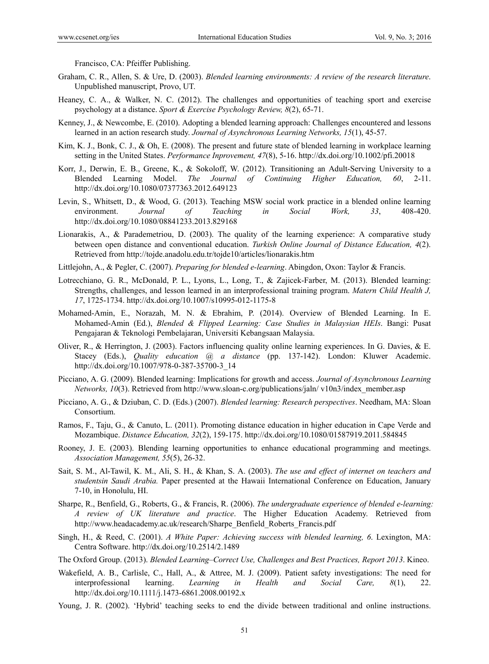Francisco, CA: Pfeiffer Publishing.

- Graham, C. R., Allen, S. & Ure, D. (2003). *Blended learning environments: A review of the research literature*. Unpublished manuscript, Provo, UT.
- Heaney, C. A., & Walker, N. C. (2012). The challenges and opportunities of teaching sport and exercise psychology at a distance. *Sport & Exercise Psychology Review, 8*(2), 65-71.
- Kenney, J., & Newcombe, E. (2010). Adopting a blended learning approach: Challenges encountered and lessons learned in an action research study. *Journal of Asynchronous Learning Networks, 15*(1), 45-57.
- Kim, K. J., Bonk, C. J., & Oh, E. (2008). The present and future state of blended learning in workplace learning setting in the United States. *Performance Inprovement, 47*(8), 5-16. http://dx.doi.org/10.1002/pfi.20018
- Korr, J., Derwin, E. B., Greene, K., & Sokoloff, W. (2012). Transitioning an Adult-Serving University to a Blended Learning Model. *The Journal of Continuing Higher Education, 60*, 2-11. http://dx.doi.org/10.1080/07377363.2012.649123
- Levin, S., Whitsett, D., & Wood, G. (2013). Teaching MSW social work practice in a blended online learning environment. *Journal of Teaching in Social Work, 33*, 408-420. http://dx.doi.org/10.1080/08841233.2013.829168
- Lionarakis, A., & Parademetriou, D. (2003). The quality of the learning experience: A comparative study between open distance and conventional education. *Turkish Online Journal of Distance Education, 4*(2). Retrieved from http://tojde.anadolu.edu.tr/tojde10/articles/lionarakis.htm
- Littlejohn, A., & Pegler, C. (2007). *Preparing for blended e-learning*. Abingdon, Oxon: Taylor & Francis.
- Lotrecchiano, G. R., McDonald, P. L., Lyons, L., Long, T., & Zajicek-Farber, M. (2013). Blended learning: Strengths, challenges, and lesson learned in an interprofessional training program. *Matern Child Health J, 17*, 1725-1734. http://dx.doi.org/10.1007/s10995-012-1175-8
- Mohamed-Amin, E., Norazah, M. N. & Ebrahim, P. (2014). Overview of Blended Learning. In E. Mohamed-Amin (Ed.), *Blended & Flipped Learning: Case Studies in Malaysian HEIs*. Bangi: Pusat Pengajaran & Teknologi Pembelajaran, Universiti Kebangsaan Malaysia.
- Oliver, R., & Herrington, J. (2003). Factors influencing quality online learning experiences. In G. Davies, & E. Stacey (Eds.), *Quality education @ a distance* (pp. 137-142). London: Kluwer Academic. http://dx.doi.org/10.1007/978-0-387-35700-3\_14
- Picciano, A. G. (2009). Blended learning: Implications for growth and access. *Journal of Asynchronous Learning Networks, 10*(3). Retrieved from http://www.sloan-c.org/publications/jaln/ v10n3/index\_member.asp
- Picciano, A. G., & Dziuban, C. D. (Eds.) (2007). *Blended learning: Research perspectives*. Needham, MA: Sloan Consortium.
- Ramos, F., Taju, G., & Canuto, L. (2011). Promoting distance education in higher education in Cape Verde and Mozambique. *Distance Education, 32*(2), 159-175. http://dx.doi.org/10.1080/01587919.2011.584845
- Rooney, J. E. (2003). Blending learning opportunities to enhance educational programming and meetings. *Association Management, 55*(5), 26-32.
- Sait, S. M., Al-Tawil, K. M., Ali, S. H., & Khan, S. A. (2003). *The use and effect of internet on teachers and studentsin Saudi Arabia.* Paper presented at the Hawaii International Conference on Education, January 7-10, in Honolulu, HI.
- Sharpe, R., Benfield, G., Roberts, G., & Francis, R. (2006). *The undergraduate experience of blended e-learning: A review of UK literature and practice*. The Higher Education Academy. Retrieved from http://www.headacademy.ac.uk/research/Sharpe\_Benfield\_Roberts\_Francis.pdf
- Singh, H., & Reed, C. (2001). *A White Paper: Achieving success with blended learning, 6*. Lexington, MA: Centra Software. http://dx.doi.org/10.2514/2.1489
- The Oxford Group. (2013). *Blended Learning–Correct Use, Challenges and Best Practices, Report 2013*. Kineo.
- Wakefield, A. B., Carlisle, C., Hall, A., & Attree, M. J. (2009). Patient safety investigations: The need for interprofessional learning. *Learning in Health and Social Care, 8*(1), 22. http://dx.doi.org/10.1111/j.1473-6861.2008.00192.x
- Young, J. R. (2002). 'Hybrid' teaching seeks to end the divide between traditional and online instructions.